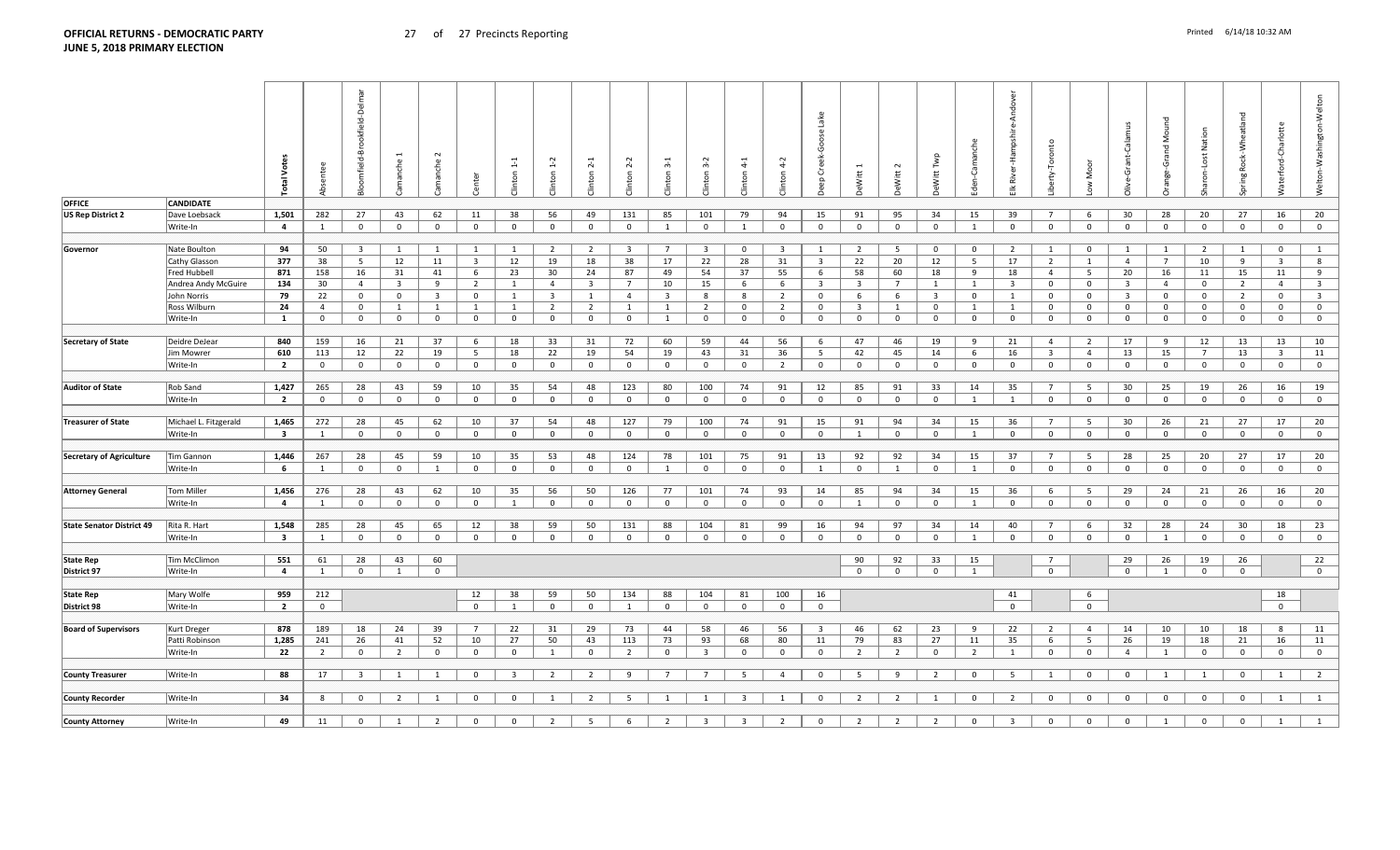|                                  |                       | <b>Total Vote</b>       | ntee           | -Delmar<br>mfield-Brookfield- | anche                   | iche                    |                         | $1\mbox{-}1$<br>nton | $\ddot{ }$<br>nton | $\sim$<br>nton | $\sim$<br><b>Jinton</b> | $3-1$<br>Clinton        | $3-2$<br>Clinton        | $^{4}$<br>Clinton | $4-2$<br>nton           | Lake<br>Creek-Goose<br>유 | <b>DeWitt 1</b>         | $\sim$<br>Witt | Twp<br>Vitt             | Camanche       | Andover<br>River-Hampshire | rty-Tor        | š              | Cala<br>Ğ               | <b>S</b><br>ge-Grand | Nation<br>naron-Lost | Wheatland<br>Rock-<br>ing | Vaterford-Charlotte     | Welton-Washington-Welton |
|----------------------------------|-----------------------|-------------------------|----------------|-------------------------------|-------------------------|-------------------------|-------------------------|----------------------|--------------------|----------------|-------------------------|-------------------------|-------------------------|-------------------|-------------------------|--------------------------|-------------------------|----------------|-------------------------|----------------|----------------------------|----------------|----------------|-------------------------|----------------------|----------------------|---------------------------|-------------------------|--------------------------|
| <b>OFFICE</b>                    | <b>CANDIDATE</b>      |                         |                |                               |                         |                         |                         |                      |                    |                |                         |                         |                         |                   |                         |                          |                         |                |                         |                |                            |                |                |                         |                      |                      |                           |                         |                          |
| <b>US Rep District 2</b>         | Dave Loebsack         | 1,501                   | 282            | 27                            | 43                      | 62                      | 11                      | 38                   | 56                 | 49             | 131                     | 85                      | 101                     | 79                | 94                      | 15                       | 91                      | 95             | 34                      | 15             | 39                         | $\overline{7}$ | 6              | 30                      | 28                   | 20                   | 27                        | 16                      | 20                       |
|                                  | Write-In              | $\overline{a}$          | 1              | $\overline{0}$                | $\mathbf{0}$            | $\mathbf{0}$            | $\mathbf{0}$            | $\mathbf 0$          | $\mathbf{0}$       | $\overline{0}$ | $\mathbf{0}$            | 1                       | $\mathbf{0}$            | $\overline{1}$    | $\mathbf{0}$            | $\mathbf 0$              | $\mathbf 0$             | $\mathbf 0$    | $\mathbf 0$             | 1              | $\mathbf{0}$               | $\Omega$       | $\overline{0}$ | $\overline{0}$          | $\mathbf 0$          | $\mathbf 0$          | $\mathbf{0}$              | $\overline{0}$          | $\overline{0}$           |
|                                  |                       |                         |                |                               |                         |                         |                         |                      |                    |                |                         |                         |                         |                   |                         |                          |                         |                |                         |                |                            |                |                |                         |                      |                      |                           |                         |                          |
|                                  |                       |                         |                |                               |                         |                         |                         |                      |                    |                |                         |                         |                         |                   |                         |                          |                         |                |                         |                |                            |                |                |                         |                      |                      |                           |                         |                          |
| Governor                         | Nate Boulton          | 94                      | 50             | $\overline{\mathbf{3}}$       | 1                       | 1                       | 1                       | <sup>1</sup>         | $\overline{2}$     | $\overline{2}$ | $\overline{3}$          | $7\overline{ }$         | $\overline{\mathbf{3}}$ | $\overline{0}$    | $\overline{\mathbf{3}}$ | $\mathbf{1}$             | $\overline{2}$          | - 5            | $\mathbf 0$             | $\mathbf 0$    | $\overline{2}$             | 1              | $\mathbf 0$    | 1                       | 1                    | $\overline{2}$       | 1                         | $\mathbf{0}$            | $\mathbf{1}$             |
|                                  | <b>Cathy Glasson</b>  | 377                     | 38             | 5                             | 12                      | 11                      | $\overline{\mathbf{3}}$ | 12                   | 19                 | 18             | 38                      | 17                      | 22                      | 28                | 31                      | $\overline{\mathbf{3}}$  | 22                      | 20             | 12                      | 5              | 17                         | $\overline{2}$ | 1              | $\overline{4}$          | $\overline{7}$       | 10                   | 9                         | $\overline{3}$          | 8                        |
|                                  | Fred Hubbell          | 871                     | 158            | 16                            | 31                      | 41                      | 6                       | 23                   | 30                 | 24             | 87                      | 49                      | 54                      | 37                | 55                      | 6                        | 58                      | 60             | 18                      | 9              | 18                         | $\overline{4}$ | 5 <sub>5</sub> | 20                      | 16                   | 11                   | 15                        | 11                      | 9                        |
|                                  | Andrea Andy McGuire   | 134                     | 30             | $\overline{4}$                | $\overline{\mathbf{3}}$ | 9                       | $\overline{2}$          | 1                    | $\overline{4}$     | 3              | $7\overline{ }$         | 10                      | 15                      | 6                 | 6                       | $\overline{\mathbf{3}}$  | $\overline{\mathbf{3}}$ | $\overline{7}$ | 1                       | 1              | $\overline{\mathbf{3}}$    | $\mathbf 0$    | $\mathbf 0$    | $\overline{3}$          | $\overline{4}$       | $\mathbf 0$          | $\overline{2}$            | $\overline{4}$          | $\overline{\mathbf{3}}$  |
|                                  | John Norris           | 79                      | 22             | $\overline{0}$                | $\mathbf 0$             | $\overline{\mathbf{3}}$ | $\mathbf 0$             | 1                    | $\overline{3}$     | $\mathbf{1}$   | $\overline{4}$          | $\overline{\mathbf{3}}$ | 8                       | 8                 | $\overline{2}$          | $\overline{0}$           | 6                       | 6              | $\overline{\mathbf{3}}$ | $\mathbf{0}$   | 1                          | $\mathbf{0}$   | $\mathbf 0$    | $\overline{\mathbf{3}}$ | $\mathbf 0$          | $\mathbf 0$          | $\overline{2}$            | $\mathbf 0$             | $\overline{3}$           |
|                                  | Ross Wilburn          | 24                      | $\overline{4}$ | $\overline{0}$                | $\mathbf{1}$            | $\mathbf{1}$            | 1                       | $\mathbf{1}$         | $\overline{2}$     | $\overline{2}$ | 1                       | 1                       | $\overline{2}$          | $\mathbf{0}$      | $\overline{2}$          | $\overline{0}$           | $\overline{\mathbf{3}}$ | 1              | $\mathbf 0$             | 1              | 1                          | $\mathbf{0}$   | $\mathbf 0$    | $\mathbf{0}$            | $\mathbf{0}$         | $\mathbf 0$          | $\mathbf 0$               | $\mathbf{0}$            | $\mathbf 0$              |
|                                  | Write-In              | $\mathbf{1}$            | $\mathbf 0$    | $\mathbf 0$                   | $\mathbf 0$             | $\mathbf 0$             | $\mathbf{0}$            | $\mathbf{0}$         | $\mathbf 0$        | $\mathbf{0}$   | $\mathbf 0$             | $\mathbf{1}$            | $\overline{0}$          | $\mathbf 0$       | $\mathbf{0}$            | $\mathbf 0$              | $\mathbf{0}$            | $\mathbf 0$    | $\mathbf 0$             | $\mathbf 0$    | $\overline{0}$             | $\mathbf 0$    | $\mathbf 0$    | $\mathbf{0}$            | $\overline{0}$       | $\mathbf 0$          | $\mathbf{0}$              | $\overline{0}$          | $\overline{0}$           |
|                                  |                       |                         |                |                               |                         |                         |                         |                      |                    |                |                         |                         |                         |                   |                         |                          |                         |                |                         |                |                            |                |                |                         |                      |                      |                           |                         |                          |
| <b>Secretary of State</b>        | Deidre DeJear         | 840                     | 159            | 16                            | 21                      | 37                      | 6                       | 18                   | 33                 | 31             | 72                      | 60                      | 59                      | 44                | 56                      | 6                        | 47                      | 46             | 19                      | 9              | 21                         | $\overline{4}$ | $\overline{2}$ | 17                      | 9                    | 12                   | 13                        | 13                      | 10                       |
|                                  | Jim Mowrer            | 610                     | 113            | 12                            | 22                      | 19                      | 5                       | 18                   | 22                 | 19             | 54                      | 19                      | 43                      | 31                | 36                      | 5 <sup>5</sup>           | 42                      | 45             | 14                      | 6              | 16                         | $\overline{3}$ | $\overline{4}$ | 13                      | 15                   | $7^{\circ}$          | 13                        | $\overline{\mathbf{3}}$ | 11                       |
|                                  | Write-In              | $\overline{2}$          | $\overline{0}$ | $\mathbf 0$                   | $\mathbf 0$             | $\mathbf 0$             | $\mathbf{0}$            | $\mathbf{0}$         | $\mathbf 0$        | $\mathbf 0$    | $\overline{0}$          | $\overline{0}$          | $\overline{0}$          | $\mathbf{0}$      | $\overline{2}$          | $\overline{0}$           | $\mathbf{0}$            | $\mathbf 0$    | $\mathbf{0}$            | $\overline{0}$ | $\overline{0}$             | $\mathbf 0$    | $\mathbf 0$    | $\mathbf{0}$            | $\mathbf{0}$         | $\mathbf 0$          | $\mathbf 0$               | $\overline{0}$          | $\overline{0}$           |
|                                  |                       |                         |                |                               |                         |                         |                         |                      |                    |                |                         |                         |                         |                   |                         |                          |                         |                |                         |                |                            |                |                |                         |                      |                      |                           |                         |                          |
|                                  |                       |                         |                |                               |                         |                         |                         |                      |                    |                |                         |                         |                         |                   |                         |                          |                         |                |                         |                |                            |                |                |                         |                      |                      |                           |                         |                          |
| <b>Auditor of State</b>          | Rob Sand              | 1,427                   | 265            | 28                            | 43                      | 59                      | 10                      | 35                   | 54                 | 48             | 123                     | 80                      | 100                     | 74                | 91                      | 12                       | 85                      | 91             | 33                      | 14             | 35                         | $\overline{7}$ | -5             | 30                      | 25                   | 19                   | 26                        | 16                      | 19                       |
|                                  | Write-In              | $\overline{2}$          | $\overline{0}$ | $\mathbf 0$                   | $\mathbf 0$             | $\mathbf 0$             | $\mathbf{0}$            | $\mathbf{0}$         | $\mathbf{0}$       | $\mathbf{0}$   | $\overline{0}$          | $\mathbf 0$             | $\mathbf 0$             | $\mathbf 0$       | $\overline{0}$          | $\overline{0}$           | $\mathbf{0}$            | $\mathbf{0}$   | $\mathbf{0}$            | $\mathbf{1}$   | $\overline{1}$             | $\mathbf{0}$   | $\mathbf 0$    | $\overline{0}$          | $\mathbf{0}$         | $\mathbf 0$          | $\mathbf{0}$              | $\overline{0}$          | $\overline{0}$           |
|                                  |                       |                         |                |                               |                         |                         |                         |                      |                    |                |                         |                         |                         |                   |                         |                          |                         |                |                         |                |                            |                |                |                         |                      |                      |                           |                         |                          |
| <b>Treasurer of State</b>        | Michael L. Fitzgerald | 1,465                   | 272            | 28                            | 45                      | 62                      | 10                      | 37                   | 54                 | 48             | 127                     | 79                      | 100                     | 74                | 91                      | 15                       | 91                      | 94             | 34                      | 15             | 36                         | $\overline{7}$ | -5             | 30                      | 26                   | 21                   | 27                        | 17                      | 20                       |
|                                  | Write-In              | $\overline{\mathbf{3}}$ | $\overline{1}$ | $\overline{0}$                | $\Omega$                | $\mathbf{0}$            | $\overline{0}$          | $\mathbf{0}$         | $\overline{0}$     | $\overline{0}$ | $\mathbf{0}$            | $\overline{0}$          | $\mathbf{0}$            | $\overline{0}$    | $\mathbf{0}$            | $\mathbf 0$              | 1                       | $\mathbf{0}$   | $\mathbf{0}$            | $\overline{1}$ | $\overline{0}$             | $\Omega$       | $\mathbf{0}$   | $\mathbf{0}$            | $\mathbf{0}$         | $\mathbf{0}$         | $\mathbf{0}$              | $\overline{0}$          | $\overline{0}$           |
|                                  |                       |                         |                |                               |                         |                         |                         |                      |                    |                |                         |                         |                         |                   |                         |                          |                         |                |                         |                |                            |                |                |                         |                      |                      |                           |                         |                          |
| <b>Secretary of Agriculture</b>  | Tim Gannon            | 1,446                   | 267            | 28                            | 45                      | 59                      | 10                      | 35                   | 53                 | 48             | 124                     | 78                      | 101                     | 75                | 91                      | 13                       | 92                      | 92             | 34                      | 15             | 37                         | $\overline{7}$ | -5             | 28                      | 25                   | 20                   | 27                        | 17                      | 20                       |
|                                  | Write-In              | - 6                     | $\overline{1}$ | $\mathbf{0}$                  | $\overline{0}$          | $\mathbf{1}$            | $\mathbf{0}$            | $\mathbf{0}$         | $\overline{0}$     | $\mathbf{0}$   | $\mathbf{0}$            | 1                       | $\Omega$                | $\Omega$          | $\mathbf{0}$            | $\overline{1}$           | $\overline{0}$          | 1              | $\mathbf{0}$            | 1              | $\mathbf{0}$               | $\Omega$       | $\overline{0}$ | $\mathbf{0}$            | $\mathbf{0}$         | $\mathbf{0}$         | $\mathbf{0}$              | $\mathbf{0}$            | $\overline{0}$           |
|                                  |                       |                         |                |                               |                         |                         |                         |                      |                    |                |                         |                         |                         |                   |                         |                          |                         |                |                         |                |                            |                |                |                         |                      |                      |                           |                         |                          |
| <b>Attorney General</b>          | <b>Tom Miller</b>     | 1,456                   | 276            | 28                            | 43                      | 62                      | 10                      | 35                   | 56                 | 50             | 126                     | 77                      | 101                     | 74                | 93                      | 14                       | 85                      | 94             | 34                      | 15             | 36                         | 6              | -5             | 29                      | 24                   | 21                   | 26                        | 16                      | 20                       |
|                                  | Write-In              | 4                       | $\overline{1}$ | $\overline{0}$                | $\Omega$                | $\mathbf{0}$            | $\mathbf 0$             | $\overline{1}$       | $\mathbf{0}$       | $\mathbf 0$    | $\mathbf{0}$            | $\overline{0}$          | $\overline{0}$          | $\mathbf 0$       | $\mathbf 0$             | $\mathbf 0$              | 1                       | $\mathbf 0$    | $\mathbf 0$             | $\overline{1}$ | $\mathbf{0}$               | $\Omega$       | $\Omega$       | $\mathbf 0$             | $\mathbf{0}$         | $\mathbf 0$          | $\mathbf 0$               | $\mathbf 0$             | $\overline{0}$           |
|                                  |                       |                         |                |                               |                         |                         |                         |                      |                    |                |                         |                         |                         |                   |                         |                          |                         |                |                         |                |                            |                |                |                         |                      |                      |                           |                         |                          |
| <b>State Senator District 49</b> | Rita R. Hart          | 1,548                   | 285            | 28                            | 45                      | 65                      | 12                      | 38                   | 59                 | 50             | 131                     | 88                      | 104                     | 81                | 99                      | 16                       | 94                      | 97             | 34                      | 14             | 40                         | $\overline{7}$ | -6             | 32                      | 28                   | 24                   | 30                        | 18                      | 23                       |
|                                  | Write-In              | $\overline{\mathbf{3}}$ | $\mathbf{1}$   | $\overline{0}$                | $\overline{0}$          | $\mathbf{0}$            | $\mathbf 0$             | $\mathbf{0}$         | $\mathbf{0}$       | $^{\circ}$     | $\mathbf{0}$            | $\overline{0}$          | $\mathbf 0$             | $\mathbf 0$       | $\mathbf 0$             | $\overline{0}$           | $\mathbf 0$             | $\overline{0}$ | $\mathbf{0}$            | $\overline{1}$ | $\mathbf{0}$               | $\Omega$       | $\Omega$       | $\mathbf{0}$            | 1                    | $\mathbf{0}$         | $\mathbf{0}$              | $\mathbf 0$             | $\overline{0}$           |
|                                  |                       |                         |                |                               |                         |                         |                         |                      |                    |                |                         |                         |                         |                   |                         |                          |                         |                |                         |                |                            |                |                |                         |                      |                      |                           |                         |                          |
| <b>State Rep</b>                 | <b>Tim McClimon</b>   | 551                     | 61             | 28                            | 43                      | 60                      |                         |                      |                    |                |                         |                         |                         |                   |                         |                          | 90                      | 92             | 33                      | 15             |                            | $\overline{7}$ |                | 29                      | 26                   | 19                   | 26                        |                         | 22                       |
| District 97                      | Write-In              | $\overline{a}$          | 1              | $\mathbf{0}$                  | $\mathbf{1}$            | $\mathbf{0}$            |                         |                      |                    |                |                         |                         |                         |                   |                         |                          | $\overline{0}$          | $\mathbf 0$    | $\mathbf 0$             | $\overline{1}$ |                            | $\Omega$       |                | $\mathbf{0}$            | $\overline{1}$       | $\mathbf 0$          | $\mathbf{0}$              |                         | $\overline{0}$           |
|                                  |                       |                         |                |                               |                         |                         |                         |                      |                    |                |                         |                         |                         |                   |                         |                          |                         |                |                         |                |                            |                |                |                         |                      |                      |                           |                         |                          |
|                                  |                       |                         |                |                               |                         |                         |                         |                      |                    |                |                         |                         |                         |                   |                         |                          |                         |                |                         |                |                            |                |                |                         |                      |                      |                           |                         |                          |
| <b>State Rep</b>                 | Mary Wolfe            | 959                     | 212            |                               |                         |                         | 12                      | 38                   | 59                 | 50             | 134                     | 88                      | 104                     | 81                | 100                     | 16                       |                         |                |                         |                | 41                         |                | -6             |                         |                      |                      |                           | 18                      |                          |
| District 98                      | Write-In              | $\overline{2}$          | $\overline{0}$ |                               |                         |                         | $\mathbf{0}$            | 1                    | $\overline{0}$     | $\mathbf{0}$   | 1                       | $\overline{0}$          | $\overline{0}$          | $\mathbf 0$       | $\mathbf{0}$            | $\mathbf 0$              |                         |                |                         |                | $\Omega$                   |                | $\mathbf{0}$   |                         |                      |                      |                           | $\overline{0}$          |                          |
|                                  |                       |                         |                |                               |                         |                         |                         |                      |                    |                |                         |                         |                         |                   |                         |                          |                         |                |                         |                |                            |                |                |                         |                      |                      |                           |                         |                          |
| <b>Board of Supervisors</b>      | Kurt Dreger           | 878                     | 189            | 18                            | 24                      | 39                      | $7^{\circ}$             | 22                   | 31                 | 29             | 73                      | 44                      | 58                      | 46                | 56                      | $\mathbf{3}$             | 46                      | 62             | 23                      | 9              | 22                         | $\overline{2}$ | $\overline{4}$ | 14                      | 10                   | 10                   | 18                        | 8                       | 11                       |
|                                  | Patti Robinson        | 1,285                   | 241            | 26                            | 41                      | 52                      | 10                      | 27                   | 50                 | 43             | 113                     | 73                      | 93                      | 68                | 80                      | 11                       | 79                      | 83             | 27                      | 11             | 35                         | - 6            | - 5            | 26                      | 19                   | 18                   | 21                        | 16                      | 11                       |
|                                  | Write-In              | 22                      | $\overline{2}$ | $\mathbf 0$                   | 2                       | $\mathbf 0$             | $\mathbf{0}$            | $\mathbf{0}$         | $\overline{1}$     | $\mathbf{0}$   | $\overline{2}$          | $\mathbf 0$             | $\overline{\mathbf{3}}$ | $\mathbf 0$       | $\mathbf{0}$            | $\mathbf 0$              | $\overline{2}$          | $\overline{2}$ | $\mathbf 0$             | $\overline{2}$ | 1                          | $\overline{0}$ | $\mathbf 0$    | $\overline{4}$          | $\mathbf{1}$         | $\mathbf 0$          | $\mathbf{0}$              | $\overline{0}$          | $\overline{0}$           |
|                                  |                       |                         |                |                               |                         |                         |                         |                      |                    |                |                         |                         |                         |                   |                         |                          |                         |                |                         |                |                            |                |                |                         |                      |                      |                           |                         |                          |
| <b>County Treasurer</b>          | Write-In              | 88                      | 17             | $\overline{\mathbf{3}}$       | 1                       | 1                       | $\mathbf{0}$            | $\overline{3}$       | 2                  | 2              | 9                       | $\overline{7}$          | $\overline{7}$          | -5                | $\overline{a}$          | $\overline{0}$           | - 5                     | 9              | 2                       | $\mathbf{0}$   | - 5                        | 1              | $\mathbf{0}$   | $\mathbf{0}$            | 1                    | 1                    | $\mathbf{0}$              | 1                       | $\overline{2}$           |
|                                  |                       |                         |                |                               |                         |                         |                         |                      |                    |                |                         |                         |                         |                   |                         |                          |                         |                |                         |                |                            |                |                |                         |                      |                      |                           |                         |                          |
| <b>County Recorder</b>           | Write-In              | 34                      | 8              | $\mathbf{0}$                  | 2                       | $\mathbf{1}$            | $\mathbf 0$             | $\mathbf{0}$         | $\overline{1}$     | $\overline{2}$ | 5                       | $\mathbf{1}$            | $\overline{1}$          | $\overline{3}$    | $\overline{1}$          | $\mathbf 0$              | $\overline{2}$          | $\overline{2}$ |                         | $\mathsf{O}$   | $\overline{2}$             | $\Omega$       | $\Omega$       | $\mathbf 0$             | $\mathbf 0$          | $\mathbf 0$          | $\overline{0}$            | 1                       | 1                        |
|                                  |                       |                         |                |                               |                         |                         |                         |                      |                    |                |                         |                         |                         |                   |                         |                          |                         |                |                         |                |                            |                |                |                         |                      |                      |                           |                         |                          |
| <b>County Attorney</b>           | Write-In              | 49                      | 11             | $\mathbf{0}$                  | $\mathbf{1}$            | $\overline{2}$          | $\overline{0}$          | $\mathbf{0}$         | $\overline{2}$     | 5 <sup>5</sup> | 6                       | $\overline{2}$          | $\overline{\mathbf{3}}$ | $\overline{3}$    | $\overline{2}$          | $\overline{0}$           | $\overline{2}$          | $\overline{2}$ | 2                       | $\mathbf{0}$   | $\overline{3}$             | $\overline{0}$ | $\mathbf{0}$   | $\mathbf{0}$            | 1                    | $\mathbf{0}$         | $\mathbf{0}$              | 1                       | $\mathbf{1}$             |
|                                  |                       |                         |                |                               |                         |                         |                         |                      |                    |                |                         |                         |                         |                   |                         |                          |                         |                |                         |                |                            |                |                |                         |                      |                      |                           |                         |                          |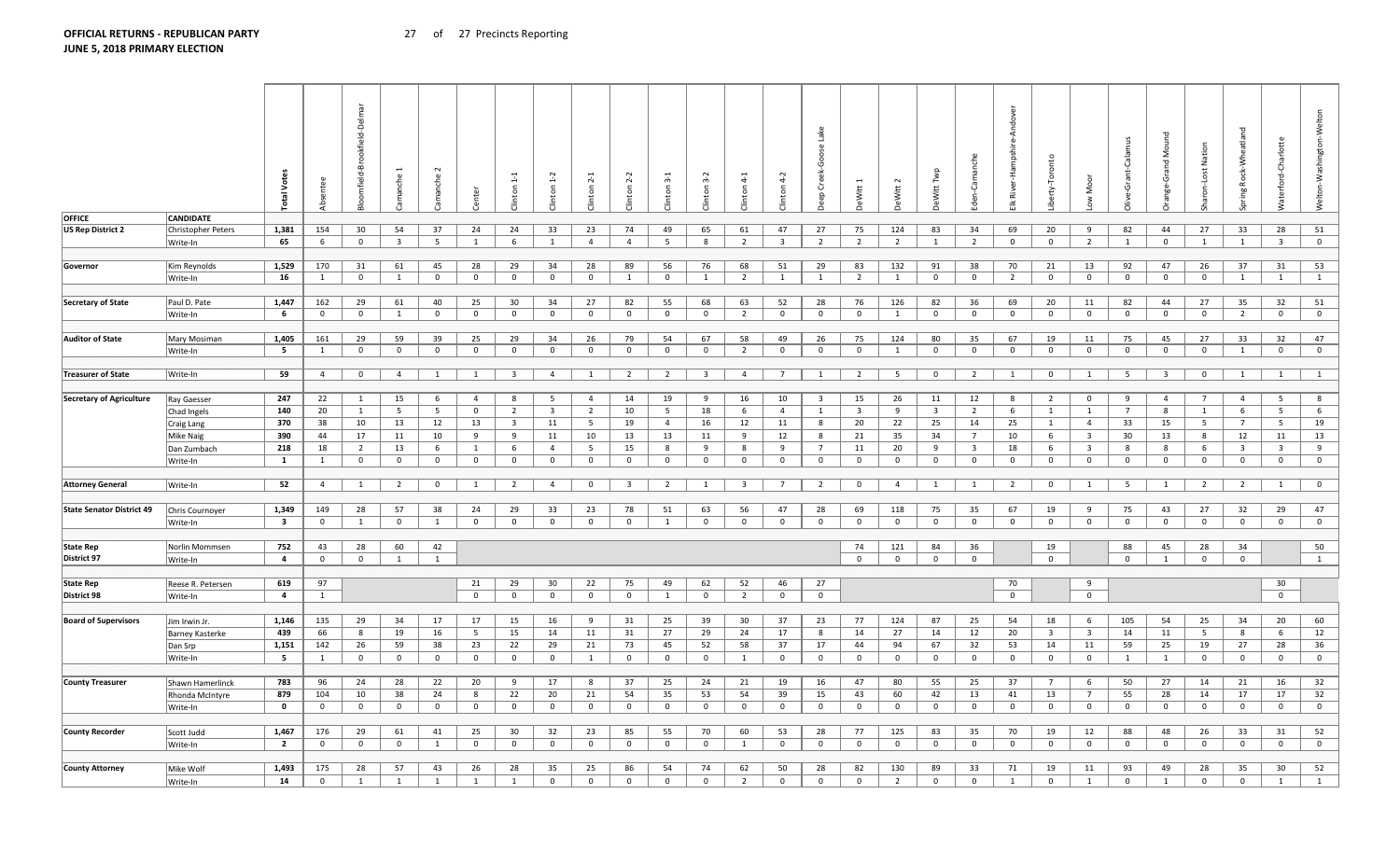Write-In **14** 

|                                                                                                                                                                                                                                                                                                                      |                           | otal                    | dsent          | ookfield<br>ᄒ<br>omfield-I |                         | manche         | enter          | $\mathbb{Z}$<br><b>Jinton</b> |                         | $^{-1}$<br>linton | $2-2$<br><b>Clinton</b> | $3-1$<br>nton  | $3-2$<br><b>Clinton</b> | $4-1$<br><b>Jinton</b>  | $4-2$<br>Clinton        | <u>lake</u><br>Goose<br>eep Creek- | eWitt                   | eWitt          | eWitt Twp               | Camanche<br>خ<br>Se     | River          | erty-Toronto            | Moor<br>$\geq$          | <b>G</b><br>e-Grant- | Σ                       | Nation<br>Lost | 짇<br>-Wheatlan<br>pring Rock- | Ğ<br>ㅎ<br>erfor         | Netton-Washington-Welton |
|----------------------------------------------------------------------------------------------------------------------------------------------------------------------------------------------------------------------------------------------------------------------------------------------------------------------|---------------------------|-------------------------|----------------|----------------------------|-------------------------|----------------|----------------|-------------------------------|-------------------------|-------------------|-------------------------|----------------|-------------------------|-------------------------|-------------------------|------------------------------------|-------------------------|----------------|-------------------------|-------------------------|----------------|-------------------------|-------------------------|----------------------|-------------------------|----------------|-------------------------------|-------------------------|--------------------------|
|                                                                                                                                                                                                                                                                                                                      | <b>CANDIDATE</b>          |                         |                |                            |                         |                |                |                               |                         |                   |                         |                |                         |                         |                         |                                    |                         |                |                         |                         |                |                         |                         |                      |                         |                |                               |                         |                          |
| OFFICE<br>US Rep District 2<br>Governor<br>Secretary of State<br>Auditor of State<br><b>Treasurer of State</b><br>Secretary of Agriculture<br>Attorney General<br><b>State Senator District 49</b><br>State Rep<br>District 97<br>State Rep<br>District 98<br><b>Board of Supervisors</b><br><b>County Treasurer</b> | <b>Christopher Peters</b> | 1,381                   | 154            | 30                         | 54                      | 37             | 24             | 24                            | 33                      | 23                | 74                      | 49             | 65                      | 61                      | 47                      | 27                                 | 75                      | 124            | 83                      | 34                      | 69             | 20                      | 9                       | 82                   | 44                      | 27             | 33                            | 28                      | 51                       |
|                                                                                                                                                                                                                                                                                                                      | Write-In                  | 65                      | 6              | $\bf{0}$                   | $\overline{\mathbf{3}}$ | 5              | 1              | 6                             | $\mathbf{1}$            | $\overline{4}$    | $\overline{4}$          | 5              | - 8                     | $\overline{2}$          | $\overline{\mathbf{3}}$ | $\overline{2}$                     | $\overline{2}$          | $\overline{2}$ | $\mathbf{1}$            | $\overline{2}$          | $\overline{0}$ | $\mathbf{0}$            | $\overline{2}$          | 1                    | $\mathbf{0}$            | 1              | 1                             | $\overline{\mathbf{3}}$ | $\mathbf{0}$             |
|                                                                                                                                                                                                                                                                                                                      |                           |                         |                |                            |                         |                |                |                               |                         |                   |                         |                |                         |                         |                         |                                    |                         |                |                         |                         |                |                         |                         |                      |                         |                |                               |                         |                          |
|                                                                                                                                                                                                                                                                                                                      | Kim Reynolds              | 1,529                   | 170            | 31                         | 61                      | 45             | 28             | 29                            | 34                      | 28                | 89                      | 56             | 76                      | 68                      | 51                      | 29                                 | 83                      | 132            | 91                      | 38                      | 70             | 21                      | 13                      | 92                   | 47                      | 26             | 37                            | 31                      | 53                       |
|                                                                                                                                                                                                                                                                                                                      | Write-In                  | 16                      | 1              | $\mathbf 0$                | 1                       | $\overline{0}$ | $\mathbf{0}$   | $\mathbf 0$                   | $\mathbf 0$             | $\mathbf{0}$      | 1                       | $\mathbf 0$    | 1                       | $\overline{2}$          | 1                       | 1                                  | $\overline{2}$          | 1              | $\mathbf{0}$            | $\mathbf{0}$            | $\overline{2}$ | $\mathbf{0}$            | $\overline{0}$          | $\mathbf 0$          | $\overline{0}$          | $\mathbf 0$    | 1                             | 1                       | $\mathbf{1}$             |
|                                                                                                                                                                                                                                                                                                                      |                           |                         |                |                            |                         |                |                |                               |                         |                   |                         |                |                         |                         |                         |                                    |                         |                |                         |                         |                |                         |                         |                      |                         |                |                               |                         |                          |
|                                                                                                                                                                                                                                                                                                                      | Paul D. Pate              | 1,447                   | 162            | 29                         | 61                      | 40             | 25             | 30                            | 34                      | 27                | 82                      | 55             | 68                      | 63                      | 52                      | 28                                 | 76                      | 126            | 82                      | 36                      | 69             | 20                      | 11                      | 82                   | 44                      | 27             | 35                            | 32                      | 51                       |
|                                                                                                                                                                                                                                                                                                                      | Write-In                  | 6                       | $\mathbf{0}$   | $\overline{0}$             | 1                       | $\overline{0}$ | $\mathbf{0}$   | $\mathbf{0}$                  | $\mathbf{0}$            | $\overline{0}$    | $\mathbf{0}$            | $\mathbf{0}$   | $\overline{0}$          | $\overline{2}$          | $\mathbf{0}$            | $\overline{0}$                     | $\mathbf{0}$            | $\mathbf{1}$   | $\overline{0}$          | $\mathbf 0$             | $\overline{0}$ | $\overline{0}$          | $\mathbf{0}$            | $\mathbf 0$          | $\mathbf{0}$            | $\mathbf{0}$   | 2                             | $\mathbf{0}$            | $\mathbf{0}$             |
|                                                                                                                                                                                                                                                                                                                      |                           |                         |                |                            |                         |                |                |                               |                         |                   |                         |                |                         |                         |                         |                                    |                         |                |                         |                         |                |                         |                         |                      |                         |                |                               |                         |                          |
|                                                                                                                                                                                                                                                                                                                      | Mary Mosiman              | 1,405                   | 161            | 29                         | 59                      | 39             | 25             | 29                            | 34                      | 26                | 79                      | 54             | 67                      | 58                      | 49                      | 26                                 | 75                      | 124            | 80                      | 35                      | 67             | 19                      | 11                      | 75                   | 45                      | 27             | 33                            | 32                      | 47                       |
|                                                                                                                                                                                                                                                                                                                      | Write-In                  | 5                       | 1              | $\overline{0}$             | $\mathbf 0$             | $\overline{0}$ | $\mathbf 0$    | $\mathbf 0$                   | $\mathbf 0$             | $\mathbf 0$       | $\mathbf{0}$            | $\overline{0}$ | $\overline{0}$          | $\overline{2}$          | $\overline{0}$          | $\overline{0}$                     | $\mathbf 0$             | 1              | $\overline{0}$          | $\mathbf 0$             | $\mathbf 0$    | $\mathbf{0}$            | $\mathbf 0$             | $\mathbf 0$          | $\mathbf 0$             | $\mathbf 0$    | 1                             | $\mathbf 0$             | $\mathbf 0$              |
|                                                                                                                                                                                                                                                                                                                      |                           |                         |                |                            |                         |                |                |                               |                         |                   |                         |                |                         |                         |                         |                                    |                         |                |                         |                         |                |                         |                         |                      |                         |                |                               |                         |                          |
|                                                                                                                                                                                                                                                                                                                      | Write-In                  | 59                      | $\overline{4}$ | $\mathbf 0$                | $\overline{4}$          | <sup>1</sup>   | 1              | $\overline{\mathbf{3}}$       | $\overline{4}$          | $\mathbf{1}$      | $\overline{2}$          | $\overline{2}$ | $\overline{\mathbf{3}}$ | $\overline{4}$          | $7\overline{ }$         | 1                                  | $\overline{2}$          | 5 <sup>5</sup> | $\overline{0}$          | $\overline{2}$          | $\mathbf{1}$   | $\mathbf{0}$            | <sup>1</sup>            | 5                    | $\overline{\mathbf{3}}$ | $\mathbf 0$    | 1                             | 1                       | 1                        |
|                                                                                                                                                                                                                                                                                                                      |                           |                         |                |                            |                         |                |                |                               |                         |                   |                         |                |                         |                         |                         |                                    |                         |                |                         |                         |                |                         |                         |                      |                         |                |                               |                         |                          |
|                                                                                                                                                                                                                                                                                                                      | Ray Gaesser               | 247                     | 22             | 1                          | 15                      | 6              | $\overline{4}$ | 8                             | $5^{\circ}$             | $\overline{4}$    | 14                      | 19             | -9                      | 16                      | 10                      | $\overline{\mathbf{3}}$            | 15                      | 26             | 11                      | 12                      | 8              | $\overline{2}$          | $\mathbf{0}$            | 9                    | $\overline{4}$          | $7^{\circ}$    | $\overline{4}$                | 5                       | 8                        |
|                                                                                                                                                                                                                                                                                                                      | Chad Ingels               | 140                     | 20             | 1                          | 5                       | 5              | $\mathbf{0}$   | $\overline{2}$                | $\overline{\mathbf{3}}$ | $\overline{2}$    | 10                      | 5              | 18                      | 6                       | $\overline{4}$          | 1                                  | $\overline{\mathbf{3}}$ | 9              | $\overline{\mathbf{3}}$ | $\overline{2}$          | 6              | $\mathbf{1}$            | $\mathbf{1}$            | $7\overline{ }$      | 8                       | $\mathbf{1}$   | 6                             | 5                       | 6                        |
|                                                                                                                                                                                                                                                                                                                      | Craig Lang                | 370                     | 38             | 10                         | 13                      | 12             | 13             | $\overline{\mathbf{3}}$       | 11                      | 5                 | 19                      | $\overline{4}$ | 16                      | 12                      | 11                      | 8                                  | 20                      | 22             | 25                      | 14                      | 25             | 1                       | $\overline{4}$          | 33                   | 15                      | 5              | $\overline{7}$                | 5                       | 19                       |
|                                                                                                                                                                                                                                                                                                                      | <b>Mike Naig</b>          | 390                     | 44             | 17                         | 11                      | 10             | 9              | 9                             | 11                      | 10                | 13                      | 13             | 11                      | 9                       | 12                      | 8                                  | 21                      | 35             | 34                      | $7\overline{ }$         | 10             | 6                       | $\overline{\mathbf{3}}$ | 30                   | 13                      | 8              | 12                            | 11                      | 13                       |
|                                                                                                                                                                                                                                                                                                                      | Dan Zumbach               | 218                     | 18             | $\overline{2}$             | 13                      | 6              | 1              | 6                             | $\overline{4}$          | 5                 | 15                      | 8              | 9                       | 8                       | 9                       | $\overline{7}$                     | 11                      | 20             | 9                       | $\overline{\mathbf{3}}$ | 18             | 6                       | $\overline{\mathbf{3}}$ | 8                    | 8                       | 6              | $\overline{\mathbf{3}}$       | $\overline{\mathbf{3}}$ | 9                        |
|                                                                                                                                                                                                                                                                                                                      | Write-In                  | $\mathbf{1}$            | $\mathbf{1}$   | $\overline{0}$             | $\mathbf 0$             | $\overline{0}$ | $\mathbf{0}$   | $\mathbf 0$                   | $\mathbf{0}$            | $\mathbf 0$       | $\overline{0}$          | $\mathbf 0$    | $\overline{0}$          | $\overline{0}$          | $\mathbf 0$             | $\overline{0}$                     | $\mathbf 0$             | $\mathbf{0}$   | $\overline{0}$          | $\mathbf{0}$            | $\mathbf 0$    | $\mathbf{0}$            | $\mathbf{0}$            | $\mathbf 0$          | $\mathbf{0}$            | $\overline{0}$ | $\mathbf{0}$                  | $\mathbf{0}$            | $\mathbf 0$              |
|                                                                                                                                                                                                                                                                                                                      |                           |                         |                |                            |                         |                |                |                               |                         |                   |                         |                |                         |                         |                         |                                    |                         |                |                         |                         |                |                         |                         |                      |                         |                |                               |                         |                          |
|                                                                                                                                                                                                                                                                                                                      | Write-In                  | 52                      | $\overline{4}$ | 1                          | $\overline{2}$          | $\overline{0}$ | 1              | $\overline{2}$                | $\overline{4}$          | $\overline{0}$    | $\overline{\mathbf{3}}$ | $\overline{2}$ | 1                       | $\overline{\mathbf{3}}$ | $7\overline{ }$         | $\overline{2}$                     | $\mathbf{0}$            | $\overline{4}$ | $\mathbf{1}$            | $\mathbf{1}$            | $\overline{2}$ | $\overline{0}$          | $\mathbf{1}$            | 5                    | 1                       | $\overline{2}$ | $\overline{2}$                | 1                       | $\mathbf 0$              |
|                                                                                                                                                                                                                                                                                                                      |                           |                         |                |                            |                         |                |                |                               |                         |                   |                         |                |                         |                         |                         |                                    |                         |                |                         |                         |                |                         |                         |                      |                         |                |                               |                         |                          |
|                                                                                                                                                                                                                                                                                                                      | Chris Cournoyer           | 1,349                   | 149            | 28                         | 57                      | 38             | 24             | 29                            | 33                      | 23                | 78                      | 51             | 63                      | 56                      | 47                      | 28                                 | 69                      | 118            | 75                      | 35                      | 67             | 19                      | 9                       | 75                   | 43                      | 27             | 32                            | 29                      | 47                       |
|                                                                                                                                                                                                                                                                                                                      | Write-In                  | $\overline{\mathbf{3}}$ | $\mathbf 0$    | 1                          | $\mathbf 0$             | 1              | $\mathbf 0$    | $\mathbf 0$                   | $\mathbf{0}$            | $\mathbf 0$       | $\mathbf{0}$            | 1              | $\mathbf 0$             | $\mathbf{0}$            | $\mathbf 0$             | $\mathbf 0$                        | $\mathbf 0$             | $\mathbf 0$    | $\overline{0}$          | $\mathbf 0$             | $\mathbf 0$    | $\mathbf{0}$            | $\mathbf 0$             | $\mathbf 0$          | $\mathbf{0}$            | $\mathbf 0$    | $\mathbf 0$                   | $\mathbf 0$             | $\mathbf 0$              |
|                                                                                                                                                                                                                                                                                                                      |                           |                         |                |                            |                         |                |                |                               |                         |                   |                         |                |                         |                         |                         |                                    |                         |                |                         |                         |                |                         |                         |                      |                         |                |                               |                         |                          |
|                                                                                                                                                                                                                                                                                                                      | Norlin Mommsen            | 752                     | 43             | 28                         | 60                      | 42             |                |                               |                         |                   |                         |                |                         |                         |                         |                                    | 74                      | 121            | 84                      | 36                      |                | 19                      |                         | 88                   | 45                      | 28             | 34                            |                         | 50                       |
|                                                                                                                                                                                                                                                                                                                      |                           | $\overline{a}$          | $\mathbf{0}$   | $\mathbf 0$                | $\overline{1}$          | 1              |                |                               |                         |                   |                         |                |                         |                         |                         |                                    | $\mathbf 0$             | $\mathbf{0}$   | $\mathbf 0$             | $\mathbf 0$             |                | $\mathbf{0}$            |                         | $\mathbf 0$          | 1                       | $\mathbf 0$    | $\mathbf 0$                   |                         | $\mathbf{1}$             |
|                                                                                                                                                                                                                                                                                                                      | Write-In                  |                         |                |                            |                         |                |                |                               |                         |                   |                         |                |                         |                         |                         |                                    |                         |                |                         |                         |                |                         |                         |                      |                         |                |                               |                         |                          |
|                                                                                                                                                                                                                                                                                                                      |                           | 619                     | 97             |                            |                         |                | 21             | 29                            | 30                      | 22                | 75                      | 49             | 62                      | 52                      | 46                      | 27                                 |                         |                |                         |                         | 70             |                         | 9                       |                      |                         |                |                               | 30                      |                          |
|                                                                                                                                                                                                                                                                                                                      | Reese R. Petersen         | $\overline{a}$          | 1              |                            |                         |                | $\mathbf{0}$   | $\overline{0}$                | $\mathbf{0}$            | $\mathbf 0$       | $\mathbf 0$             | $\mathbf{1}$   | $\mathbf 0$             | $\overline{2}$          | $\mathbf{0}$            | $\mathbf{0}$                       |                         |                |                         |                         | $\mathbf{0}$   |                         | $\overline{0}$          |                      |                         |                |                               | $\Omega$                |                          |
|                                                                                                                                                                                                                                                                                                                      | Write-In                  |                         |                |                            |                         |                |                |                               |                         |                   |                         |                |                         |                         |                         |                                    |                         |                |                         |                         |                |                         |                         |                      |                         |                |                               |                         |                          |
|                                                                                                                                                                                                                                                                                                                      |                           |                         |                |                            |                         |                |                |                               |                         |                   |                         |                |                         |                         |                         |                                    |                         |                |                         |                         |                |                         |                         |                      |                         |                |                               |                         |                          |
|                                                                                                                                                                                                                                                                                                                      | Jim Irwin Jr.             | 1,146                   | 135            | 29                         | 34                      | 17             | 17             | 15                            | 16                      | 9                 | 31                      | 25             | 39                      | 30                      | 37                      | 23                                 | 77                      | 124            | 87                      | 25                      | 54             | 18                      | 6                       | 105                  | 54                      | 25             | 34                            | 20                      | 60                       |
|                                                                                                                                                                                                                                                                                                                      | <b>Barney Kasterke</b>    | 439                     | 66             | 8                          | 19                      | 16             | 5 <sup>5</sup> | 15                            | 14                      | 11                | 31                      | 27             | 29                      | 24                      | 17                      | 8                                  | 14                      | 27             | 14                      | 12                      | 20             | $\overline{\mathbf{3}}$ | $\overline{\mathbf{3}}$ | 14                   | 11                      | 5              | 8                             | 6                       | 12                       |
|                                                                                                                                                                                                                                                                                                                      | Dan Srp                   | 1,151                   | 142            | 26                         | 59                      | 38             | 23             | 22                            | 29                      | 21                | 73                      | 45             | 52                      | 58                      | 37                      | 17                                 | 44                      | 94             | 67                      | 32                      | 53             | 14                      | 11                      | 59                   | 25                      | 19             | 27                            | 28                      | 36                       |
|                                                                                                                                                                                                                                                                                                                      | Write-In                  | $5\overline{5}$         | $\mathbf{1}$   | $\mathbf 0$                | $\mathbf 0$             | $\bf{0}$       | $\mathbf{0}$   | $\mathbf 0$                   | $\mathbf 0$             | 1                 | $\bf{0}$                | $\mathbf{0}$   | $\overline{0}$          | 1                       | $\bf{0}$                | $\overline{0}$                     | $\mathbf 0$             | $\overline{0}$ | $\overline{0}$          | $\mathbf{0}$            | $\overline{0}$ | $\mathbf{0}$            | $\overline{0}$          | 1                    | 1                       | $\mathbf 0$    | $\mathbf 0$                   | $\mathbf 0$             | $\mathbf 0$              |
|                                                                                                                                                                                                                                                                                                                      |                           |                         |                |                            |                         |                |                |                               |                         |                   |                         |                |                         |                         |                         |                                    |                         |                |                         |                         |                |                         |                         |                      |                         |                |                               |                         |                          |
|                                                                                                                                                                                                                                                                                                                      | Shawn Hamerlinck          | 783                     | 96             | 24                         | 28                      | 22             | 20             | 9                             | 17                      | 8                 | 37                      | 25             | 24                      | 21                      | 19                      | 16                                 | 47                      | 80             | 55                      | 25                      | 37             | $7\overline{ }$         | 6                       | 50                   | 27                      | 14             | 21                            | 16                      | 32                       |
|                                                                                                                                                                                                                                                                                                                      | Rhonda McIntyre           | 879                     | 104            | 10                         | 38                      | 24             | 8              | 22                            | 20                      | 21                | 54                      | 35             | 53                      | 54                      | 39                      | 15                                 | 43                      | 60             | 42                      | 13                      | 41             | 13                      | $7\overline{ }$         | 55                   | 28                      | 14             | 17                            | 17                      | 32                       |
|                                                                                                                                                                                                                                                                                                                      | Write-In                  | $\mathbf 0$             | $\overline{0}$ | $\mathbf{0}$               | $\mathbf 0$             | $\mathbf{0}$   | $\overline{0}$ | $\overline{0}$                | $\mathbf{0}$            | $\overline{0}$    | $\overline{0}$          | $\mathbf{0}$   | $\overline{0}$          | $\overline{0}$          | $\overline{0}$          | $\overline{0}$                     | $\mathbf{0}$            | $\overline{0}$ | $\mathbf{0}$            | $\mathbf{0}$            | $\overline{0}$ | $\mathbf{0}$            | $\overline{0}$          | $\mathbf{0}$         | $\overline{0}$          | $\mathbf{0}$   | $\mathbf{0}$                  | $\overline{0}$          | $\mathbf{0}$             |
|                                                                                                                                                                                                                                                                                                                      |                           |                         |                |                            |                         |                |                |                               |                         |                   |                         |                |                         |                         |                         |                                    |                         |                |                         |                         |                |                         |                         |                      |                         |                |                               |                         |                          |
| County Recorder                                                                                                                                                                                                                                                                                                      | Scott Judd                | 1,467                   | 176            | 29                         | 61                      | 41             | 25             | 30                            | 32                      | 23                | 85                      | 55             | 70                      | 60                      | 53                      | 28                                 | 77                      | 125            | 83                      | 35                      | 70             | 19                      | 12                      | 88                   | 48                      | 26             | 33                            | 31                      | 52                       |
|                                                                                                                                                                                                                                                                                                                      | Write-In                  | $\overline{2}$          | $\mathbf 0$    | $\mathbf{0}$               | $\mathbf 0$             | 1              | $\mathbf 0$    | $^{\circ}$                    | $\overline{0}$          | $\mathbf 0$       | $\overline{0}$          | $\mathbf{0}$   | $\mathbf 0$             | 1                       | $\mathbf 0$             | $\mathbf 0$                        | $\mathbf 0$             | $\mathbf{0}$   | $\overline{0}$          | $\mathbf 0$             | $\mathbf 0$    | $\mathbf{0}$            | $\mathbf 0$             | $\mathbf 0$          | $\mathbf 0$             | $\mathbf 0$    | $\mathbf 0$                   | $\mathbf 0$             | $\mathbf 0$              |
|                                                                                                                                                                                                                                                                                                                      |                           |                         |                |                            |                         |                |                |                               |                         |                   |                         |                |                         |                         |                         |                                    |                         |                |                         |                         |                |                         |                         |                      |                         |                |                               |                         |                          |
| <b>County Attorney</b>                                                                                                                                                                                                                                                                                               | Mike Wolf                 | 1,493                   | 175            | 28                         | 57                      | 43             | 26             | 28                            | 35                      | 25                | 86                      | 54             | 74                      | 62                      | 50                      | 28                                 | 82                      | 130            | 89                      | 33                      | 71             | 19                      | 11                      | 93                   | 49                      | 28             | 35                            | 30                      | 52                       |

1 1 1 1 1 0 0 0 0 0 2 0 0 0 2 0 0 1 0 1 0 1 0 0 1 1